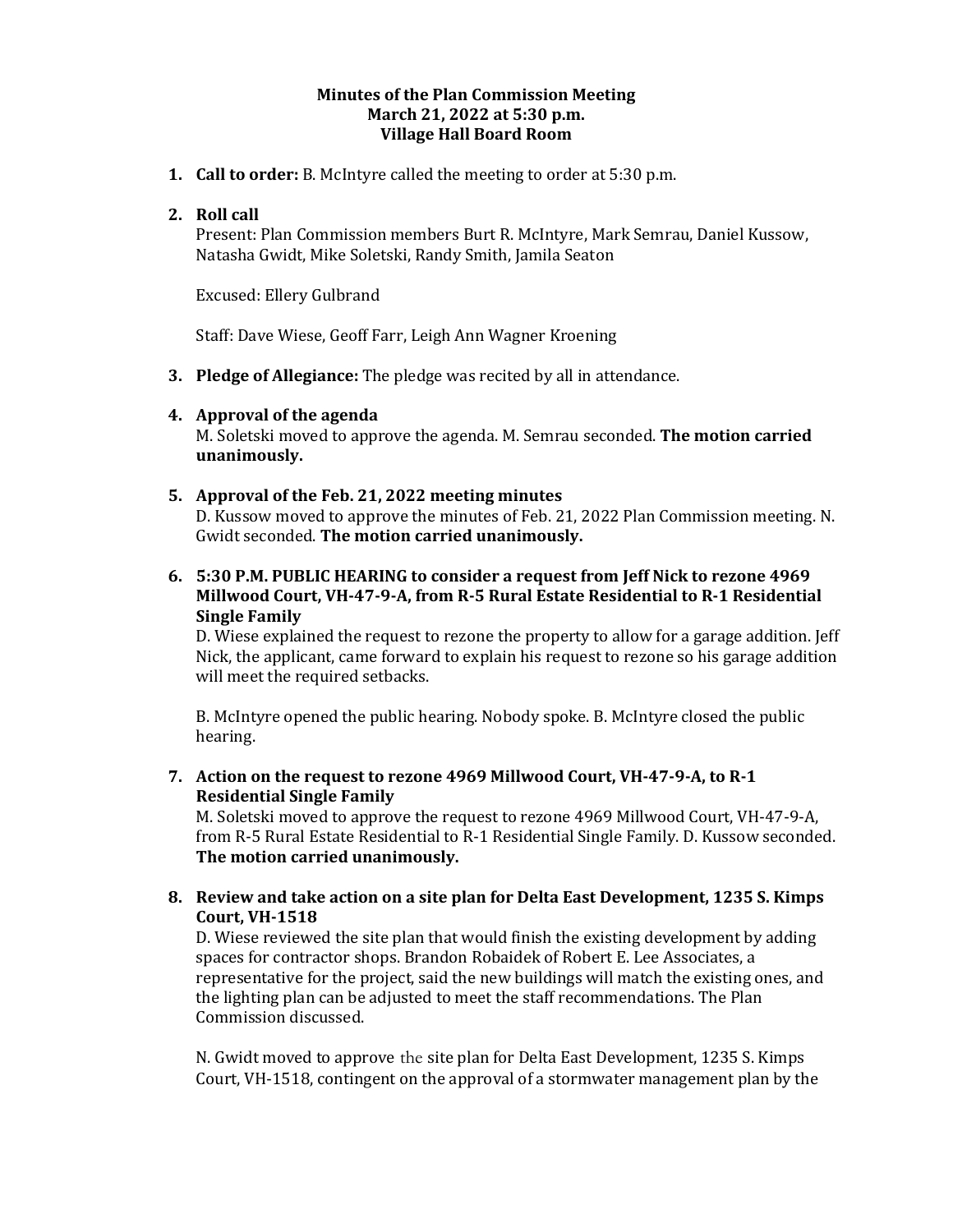## **Minutes of the Plan Commission Meeting March 21, 2022 at 5:30 p.m. Village Hall Board Room**

**1. Call to order:** B. McIntyre called the meeting to order at 5:30 p.m.

## **2. Roll call**

Present: Plan Commission members Burt R. McIntyre, Mark Semrau, Daniel Kussow, Natasha Gwidt, Mike Soletski, Randy Smith, Jamila Seaton

Excused: Ellery Gulbrand

Staff: Dave Wiese, Geoff Farr, Leigh Ann Wagner Kroening

**3. Pledge of Allegiance:** The pledge was recited by all in attendance.

## **4. Approval of the agenda**

M. Soletski moved to approve the agenda. M. Semrau seconded. **The motion carried unanimously.** 

## **5. Approval of the Feb. 21, 2022 meeting minutes**

D. Kussow moved to approve the minutes of Feb. 21, 2022 Plan Commission meeting. N. Gwidt seconded. **The motion carried unanimously.**

**6. 5:30 P.M. PUBLIC HEARING to consider a request from Jeff Nick to rezone 4969 Millwood Court, VH-47-9-A, from R-5 Rural Estate Residential to R-1 Residential Single Family**

D. Wiese explained the request to rezone the property to allow for a garage addition. Jeff Nick, the applicant, came forward to explain his request to rezone so his garage addition will meet the required setbacks.

B. McIntyre opened the public hearing. Nobody spoke. B. McIntyre closed the public hearing.

**7. Action on the request to rezone 4969 Millwood Court, VH-47-9-A, to R-1 Residential Single Family**

M. Soletski moved to approve the request to rezone 4969 Millwood Court, VH-47-9-A, from R-5 Rural Estate Residential to R-1 Residential Single Family. D. Kussow seconded. **The motion carried unanimously.** 

**8. Review and take action on a site plan for Delta East Development, 1235 S. Kimps Court, VH-1518**

D. Wiese reviewed the site plan that would finish the existing development by adding spaces for contractor shops. Brandon Robaidek of Robert E. Lee Associates, a representative for the project, said the new buildings will match the existing ones, and the lighting plan can be adjusted to meet the staff recommendations. The Plan Commission discussed.

N. Gwidt moved to approve the site plan for Delta East Development, 1235 S. Kimps Court, VH-1518, contingent on the approval of a stormwater management plan by the